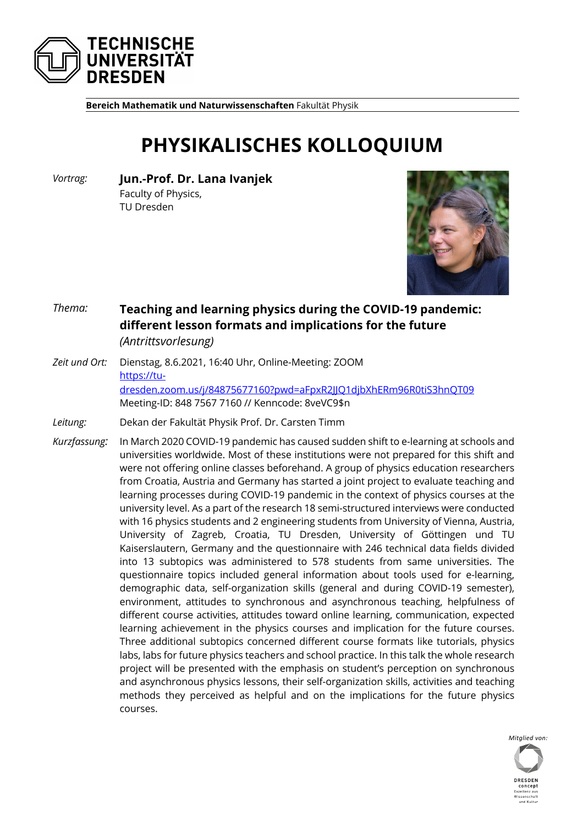

**Bereich Mathematik und Naturwissenschaften** Fakultät Physik

## **PHYSIKALISCHES KOLLOQUIUM**

*Vortrag:* **Jun.-Prof. Dr. Lana Ivanjek** Faculty of Physics, TU Dresden



## *Thema:* **Teaching and learning physics during the COVID-19 pandemic: different lesson formats and implications for the future** *(Antrittsvorlesung)*

- *Zeit und Ort:* Dienstag, 8.6.2021, 16:40 Uhr, Online-Meeting: ZOOM https://tudresden.zoom.us/j/84875677160?pwd=aFpxR2JJQ1djbXhERm96R0tiS3hnQT09 Meeting-ID: 848 7567 7160 // Kenncode: 8veVC9\$n
- *Leitung:* Dekan der Fakultät Physik Prof. Dr. Carsten Timm
- *Kurzfassung:* In March 2020 COVID-19 pandemic has caused sudden shift to e-learning at schools and universities worldwide. Most of these institutions were not prepared for this shift and were not offering online classes beforehand. A group of physics education researchers from Croatia, Austria and Germany has started a joint project to evaluate teaching and learning processes during COVID-19 pandemic in the context of physics courses at the university level. As a part of the research 18 semi-structured interviews were conducted with 16 physics students and 2 engineering students from University of Vienna, Austria, University of Zagreb, Croatia, TU Dresden, University of Göttingen und TU Kaiserslautern, Germany and the questionnaire with 246 technical data fields divided into 13 subtopics was administered to 578 students from same universities. The questionnaire topics included general information about tools used for e-learning, demographic data, self-organization skills (general and during COVID-19 semester), environment, attitudes to synchronous and asynchronous teaching, helpfulness of different course activities, attitudes toward online learning, communication, expected learning achievement in the physics courses and implication for the future courses. Three additional subtopics concerned different course formats like tutorials, physics labs, labs for future physics teachers and school practice. In this talk the whole research project will be presented with the emphasis on student's perception on synchronous and asynchronous physics lessons, their self-organization skills, activities and teaching methods they perceived as helpful and on the implications for the future physics courses.